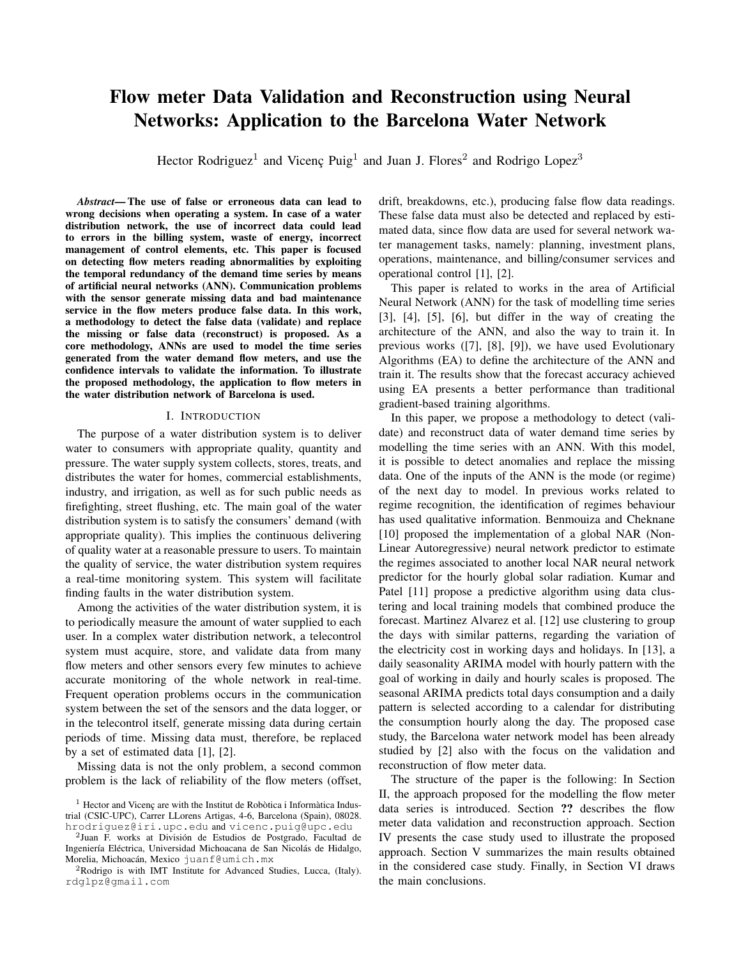# Flow meter Data Validation and Reconstruction using Neural **Networks: Application to the Barcelona Water Network**

Hector Rodriguez<sup>1</sup> and Vicenç Puig<sup>1</sup> and Juan J. Flores<sup>2</sup> and Rodrigo Lopez<sup>3</sup>

Abstract-The use of false or erroneous data can lead to wrong decisions when operating a system. In case of a water distribution network, the use of incorrect data could lead to errors in the billing system, waste of energy, incorrect management of control elements, etc. This paper is focused on detecting flow meters reading abnormalities by exploiting the temporal redundancy of the demand time series by means of artificial neural networks (ANN). Communication problems with the sensor generate missing data and bad maintenance service in the flow meters produce false data. In this work, a methodology to detect the false data (validate) and replace the missing or false data (reconstruct) is proposed. As a core methodology, ANNs are used to model the time series generated from the water demand flow meters, and use the confidence intervals to validate the information. To illustrate the proposed methodology, the application to flow meters in the water distribution network of Barcelona is used.

## I. INTRODUCTION

The purpose of a water distribution system is to deliver water to consumers with appropriate quality, quantity and pressure. The water supply system collects, stores, treats, and distributes the water for homes, commercial establishments, industry, and irrigation, as well as for such public needs as firefighting, street flushing, etc. The main goal of the water distribution system is to satisfy the consumers' demand (with appropriate quality). This implies the continuous delivering of quality water at a reasonable pressure to users. To maintain the quality of service, the water distribution system requires a real-time monitoring system. This system will facilitate finding faults in the water distribution system.

Among the activities of the water distribution system, it is to periodically measure the amount of water supplied to each user. In a complex water distribution network, a telecontrol system must acquire, store, and validate data from many flow meters and other sensors every few minutes to achieve accurate monitoring of the whole network in real-time. Frequent operation problems occurs in the communication system between the set of the sensors and the data logger, or in the telecontrol itself, generate missing data during certain periods of time. Missing data must, therefore, be replaced by a set of estimated data  $[1]$ ,  $[2]$ .

Missing data is not the only problem, a second common problem is the lack of reliability of the flow meters (offset, drift, breakdowns, etc.), producing false flow data readings. These false data must also be detected and replaced by estimated data, since flow data are used for several network water management tasks, namely: planning, investment plans, operations, maintenance, and billing/consumer services and operational control [1], [2].

This paper is related to works in the area of Artificial Neural Network (ANN) for the task of modelling time series  $[3]$ ,  $[4]$ ,  $[5]$ ,  $[6]$ , but differ in the way of creating the architecture of the ANN, and also the way to train it. In previous works ([7], [8], [9]), we have used Evolutionary Algorithms (EA) to define the architecture of the ANN and train it. The results show that the forecast accuracy achieved using EA presents a better performance than traditional gradient-based training algorithms.

In this paper, we propose a methodology to detect (validate) and reconstruct data of water demand time series by modelling the time series with an ANN. With this model, it is possible to detect anomalies and replace the missing data. One of the inputs of the ANN is the mode (or regime) of the next day to model. In previous works related to regime recognition, the identification of regimes behaviour has used qualitative information. Benmouiza and Cheknane [10] proposed the implementation of a global NAR (Non-Linear Autoregressive) neural network predictor to estimate the regimes associated to another local NAR neural network predictor for the hourly global solar radiation. Kumar and Patel [11] propose a predictive algorithm using data clustering and local training models that combined produce the forecast. Martinez Alvarez et al. [12] use clustering to group the days with similar patterns, regarding the variation of the electricity cost in working days and holidays. In [13], a daily seasonality ARIMA model with hourly pattern with the goal of working in daily and hourly scales is proposed. The seasonal ARIMA predicts total days consumption and a daily pattern is selected according to a calendar for distributing the consumption hourly along the day. The proposed case study, the Barcelona water network model has been already studied by [2] also with the focus on the validation and reconstruction of flow meter data.

The structure of the paper is the following: In Section II, the approach proposed for the modelling the flow meter data series is introduced. Section ?? describes the flow meter data validation and reconstruction approach. Section IV presents the case study used to illustrate the proposed approach. Section V summarizes the main results obtained in the considered case study. Finally, in Section VI draws the main conclusions.

<sup>&</sup>lt;sup>1</sup> Hector and Vicenç are with the Institut de Robòtica i Informàtica Industrial (CSIC-UPC), Carrer LLorens Artigas, 4-6, Barcelona (Spain), 08028. hrodriguez@iri.upc.edu and vicenc.puig@upc.edu

<sup>&</sup>lt;sup>2</sup>Juan F. works at División de Estudios de Postgrado, Facultad de Ingeniería Eléctrica, Universidad Michoacana de San Nicolás de Hidalgo, Morelia, Michoacán, Mexico juanf@umich.mx

<sup>&</sup>lt;sup>2</sup>Rodrigo is with IMT Institute for Advanced Studies, Lucca, (Italy). rdglpz@gmail.com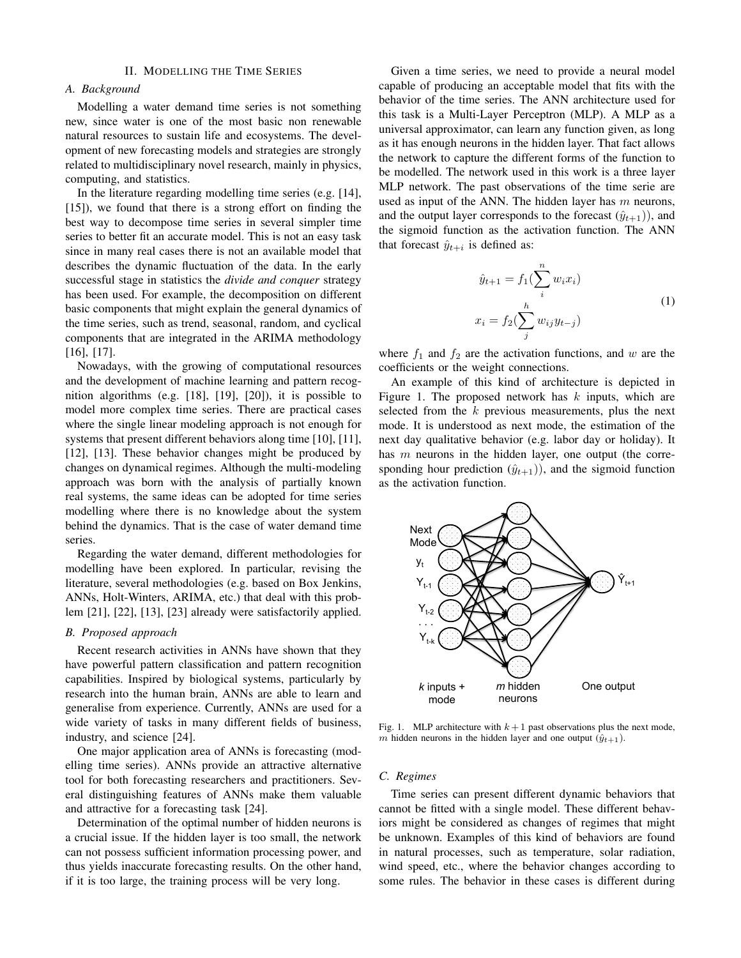# II. MODELLING THE TIME SERIES

# A. Background

Modelling a water demand time series is not something new, since water is one of the most basic non renewable natural resources to sustain life and ecosystems. The development of new forecasting models and strategies are strongly related to multidisciplinary novel research, mainly in physics, computing, and statistics.

In the literature regarding modelling time series (e.g. [14],  $[15]$ , we found that there is a strong effort on finding the best way to decompose time series in several simpler time series to better fit an accurate model. This is not an easy task since in many real cases there is not an available model that describes the dynamic fluctuation of the data. In the early successful stage in statistics the *divide and conquer* strategy has been used. For example, the decomposition on different basic components that might explain the general dynamics of the time series, such as trend, seasonal, random, and cyclical components that are integrated in the ARIMA methodology  $[16]$ ,  $[17]$ .

Nowadays, with the growing of computational resources and the development of machine learning and pattern recognition algorithms (e.g.  $[18]$ ,  $[19]$ ,  $[20]$ ), it is possible to model more complex time series. There are practical cases where the single linear modeling approach is not enough for systems that present different behaviors along time [10], [11],  $[12]$ ,  $[13]$ . These behavior changes might be produced by changes on dynamical regimes. Although the multi-modeling approach was born with the analysis of partially known real systems, the same ideas can be adopted for time series modelling where there is no knowledge about the system behind the dynamics. That is the case of water demand time series.

Regarding the water demand, different methodologies for modelling have been explored. In particular, revising the literature, several methodologies (e.g. based on Box Jenkins, ANNs, Holt-Winters, ARIMA, etc.) that deal with this problem  $[21]$ ,  $[22]$ ,  $[13]$ ,  $[23]$  already were satisfactorily applied.

# B. Proposed approach

Recent research activities in ANNs have shown that they have powerful pattern classification and pattern recognition capabilities. Inspired by biological systems, particularly by research into the human brain, ANNs are able to learn and generalise from experience. Currently, ANNs are used for a wide variety of tasks in many different fields of business, industry, and science [24].

One major application area of ANNs is forecasting (modelling time series). ANNs provide an attractive alternative tool for both forecasting researchers and practitioners. Several distinguishing features of ANNs make them valuable and attractive for a forecasting task [24].

Determination of the optimal number of hidden neurons is a crucial issue. If the hidden layer is too small, the network can not possess sufficient information processing power, and thus yields inaccurate forecasting results. On the other hand, if it is too large, the training process will be very long.

Given a time series, we need to provide a neural model capable of producing an acceptable model that fits with the behavior of the time series. The ANN architecture used for this task is a Multi-Layer Perceptron (MLP). A MLP as a universal approximator, can learn any function given, as long as it has enough neurons in the hidden layer. That fact allows the network to capture the different forms of the function to be modelled. The network used in this work is a three layer MLP network. The past observations of the time serie are used as input of the ANN. The hidden layer has  $m$  neurons, and the output layer corresponds to the forecast  $(\hat{y}_{t+1})$ , and the sigmoid function as the activation function. The ANN that forecast  $\hat{y}_{t+i}$  is defined as:

$$
\hat{y}_{t+1} = f_1(\sum_{i}^{n} w_i x_i)
$$
\n
$$
x_i = f_2(\sum_{i}^{h} w_{ij} y_{t-j})
$$
\n(1)

where  $f_1$  and  $f_2$  are the activation functions, and w are the coefficients or the weight connections.

An example of this kind of architecture is depicted in Figure 1. The proposed network has  $k$  inputs, which are selected from the  $k$  previous measurements, plus the next mode. It is understood as next mode, the estimation of the next day qualitative behavior (e.g. labor day or holiday). It has  $m$  neurons in the hidden layer, one output (the corresponding hour prediction  $(\hat{y}_{t+1})$ , and the sigmoid function as the activation function.



Fig. 1. MLP architecture with  $k+1$  past observations plus the next mode, m hidden neurons in the hidden layer and one output  $(\hat{y}_{t+1})$ .

## C. Regimes

Time series can present different dynamic behaviors that cannot be fitted with a single model. These different behaviors might be considered as changes of regimes that might be unknown. Examples of this kind of behaviors are found in natural processes, such as temperature, solar radiation, wind speed, etc., where the behavior changes according to some rules. The behavior in these cases is different during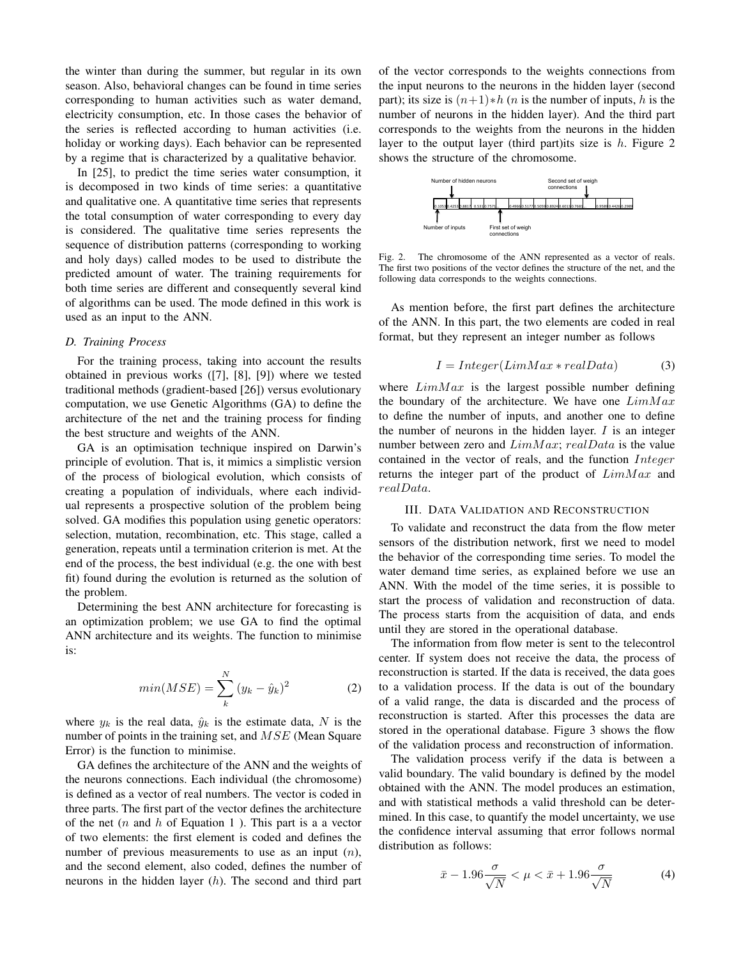the winter than during the summer, but regular in its own season. Also, behavioral changes can be found in time series corresponding to human activities such as water demand, electricity consumption, etc. In those cases the behavior of the series is reflected according to human activities (i.e. holiday or working days). Each behavior can be represented by a regime that is characterized by a qualitative behavior.

In  $[25]$ , to predict the time series water consumption, it is decomposed in two kinds of time series: a quantitative and qualitative one. A quantitative time series that represents the total consumption of water corresponding to every day is considered. The qualitative time series represents the sequence of distribution patterns (corresponding to working and holy days) called modes to be used to distribute the predicted amount of water. The training requirements for both time series are different and consequently several kind of algorithms can be used. The mode defined in this work is used as an input to the ANN.

# D. Training Process

For the training process, taking into account the results obtained in previous works ([7], [8], [9]) where we tested traditional methods (gradient-based [26]) versus evolutionary computation, we use Genetic Algorithms (GA) to define the architecture of the net and the training process for finding the best structure and weights of the ANN.

GA is an optimisation technique inspired on Darwin's principle of evolution. That is, it mimics a simplistic version of the process of biological evolution, which consists of creating a population of individuals, where each individual represents a prospective solution of the problem being solved. GA modifies this population using genetic operators: selection, mutation, recombination, etc. This stage, called a generation, repeats until a termination criterion is met. At the end of the process, the best individual (e.g. the one with best fit) found during the evolution is returned as the solution of the problem.

Determining the best ANN architecture for forecasting is an optimization problem; we use GA to find the optimal ANN architecture and its weights. The function to minimise is:

$$
min(MSE) = \sum_{k}^{N} (y_k - \hat{y}_k)^2
$$
 (2)

where  $y_k$  is the real data,  $\hat{y}_k$  is the estimate data, N is the number of points in the training set, and  $MSE$  (Mean Square Error) is the function to minimise.

GA defines the architecture of the ANN and the weights of the neurons connections. Each individual (the chromosome) is defined as a vector of real numbers. The vector is coded in three parts. The first part of the vector defines the architecture of the net  $(n$  and  $h$  of Equation 1). This part is a a vector of two elements: the first element is coded and defines the number of previous measurements to use as an input  $(n)$ , and the second element, also coded, defines the number of neurons in the hidden layer  $(h)$ . The second and third part

of the vector corresponds to the weights connections from the input neurons to the neurons in the hidden layer (second part); its size is  $(n+1)*h$  (*n* is the number of inputs, *h* is the number of neurons in the hidden layer). And the third part corresponds to the weights from the neurons in the hidden layer to the output layer (third part) its size is  $h$ . Figure 2 shows the structure of the chromosome.



Fig. 2. The chromosome of the ANN represented as a vector of reals. The first two positions of the vector defines the structure of the net, and the following data corresponds to the weights connections.

As mention before, the first part defines the architecture of the ANN. In this part, the two elements are coded in real format, but they represent an integer number as follows

$$
I = Integer(LimMax * realData)
$$
 (3)

where  $LimMax$  is the largest possible number defining the boundary of the architecture. We have one  $LimMax$ to define the number of inputs, and another one to define the number of neurons in the hidden layer.  $I$  is an integer number between zero and  $LimMax$ ;  $realData$  is the value contained in the vector of reals, and the function *Integer* returns the integer part of the product of  $LimMax$  and realData.

#### **III. DATA VALIDATION AND RECONSTRUCTION**

To validate and reconstruct the data from the flow meter sensors of the distribution network, first we need to model the behavior of the corresponding time series. To model the water demand time series, as explained before we use an ANN. With the model of the time series, it is possible to start the process of validation and reconstruction of data. The process starts from the acquisition of data, and ends until they are stored in the operational database.

The information from flow meter is sent to the telecontrol center. If system does not receive the data, the process of reconstruction is started. If the data is received, the data goes to a validation process. If the data is out of the boundary of a valid range, the data is discarded and the process of reconstruction is started. After this processes the data are stored in the operational database. Figure 3 shows the flow of the validation process and reconstruction of information.

The validation process verify if the data is between a valid boundary. The valid boundary is defined by the model obtained with the ANN. The model produces an estimation, and with statistical methods a valid threshold can be determined. In this case, to quantify the model uncertainty, we use the confidence interval assuming that error follows normal distribution as follows:

$$
\bar{x} - 1.96 \frac{\sigma}{\sqrt{N}} < \mu < \bar{x} + 1.96 \frac{\sigma}{\sqrt{N}} \tag{4}
$$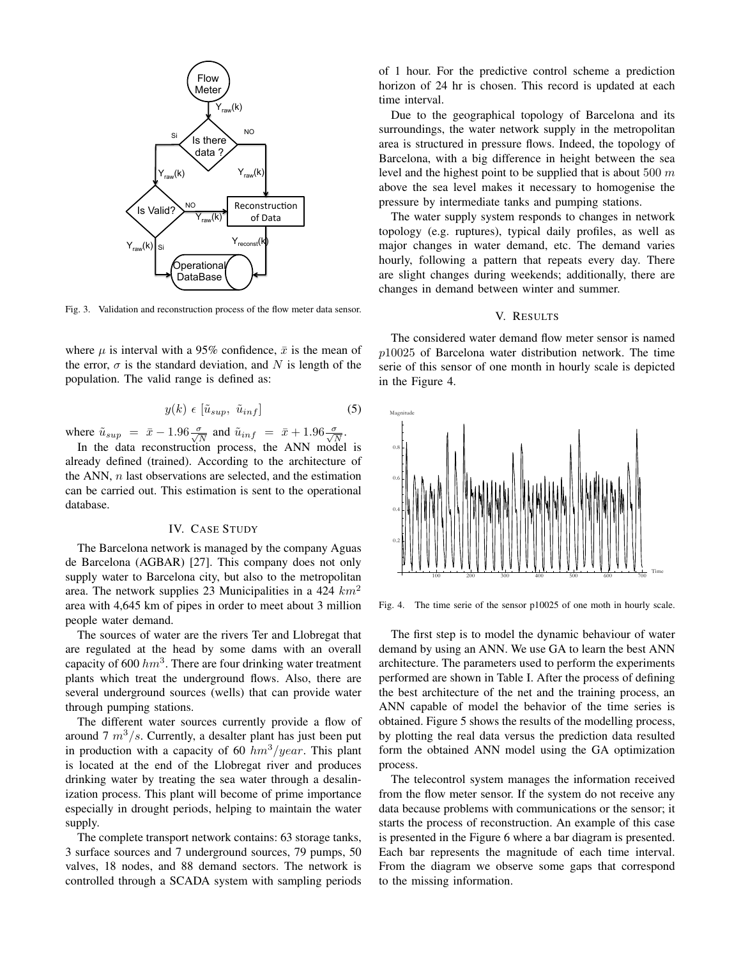

Fig. 3. Validation and reconstruction process of the flow meter data sensor.

where  $\mu$  is interval with a 95% confidence,  $\bar{x}$  is the mean of the error,  $\sigma$  is the standard deviation, and N is length of the population. The valid range is defined as:

$$
y(k) \in \left[\tilde{u}_{sup}, \tilde{u}_{inf}\right] \tag{5}
$$

where  $\tilde{u}_{sup} = \bar{x} - 1.96 \frac{\sigma}{\sqrt{N}}$  and  $\tilde{u}_{inf} = \bar{x} + 1.96 \frac{\sigma}{\sqrt{N}}$ .

In the data reconstruction process, the ANN model is already defined (trained). According to the architecture of the ANN,  $n$  last observations are selected, and the estimation can be carried out. This estimation is sent to the operational database.

## **IV. CASE STUDY**

The Barcelona network is managed by the company Aguas de Barcelona (AGBAR) [27]. This company does not only supply water to Barcelona city, but also to the metropolitan area. The network supplies 23 Municipalities in a 424  $km^2$ area with 4,645 km of pipes in order to meet about 3 million people water demand.

The sources of water are the rivers Ter and Llobregat that are regulated at the head by some dams with an overall capacity of 600  $hm^3$ . There are four drinking water treatment plants which treat the underground flows. Also, there are several underground sources (wells) that can provide water through pumping stations.

The different water sources currently provide a flow of around 7  $m^3/s$ . Currently, a desalter plant has just been put in production with a capacity of 60  $hm^3/year$ . This plant is located at the end of the Llobregat river and produces drinking water by treating the sea water through a desalinization process. This plant will become of prime importance especially in drought periods, helping to maintain the water supply.

The complete transport network contains: 63 storage tanks, 3 surface sources and 7 underground sources, 79 pumps, 50 valves, 18 nodes, and 88 demand sectors. The network is controlled through a SCADA system with sampling periods of 1 hour. For the predictive control scheme a prediction horizon of 24 hr is chosen. This record is updated at each time interval.

Due to the geographical topology of Barcelona and its surroundings, the water network supply in the metropolitan area is structured in pressure flows. Indeed, the topology of Barcelona, with a big difference in height between the sea level and the highest point to be supplied that is about 500  $m$ above the sea level makes it necessary to homogenise the pressure by intermediate tanks and pumping stations.

The water supply system responds to changes in network topology (e.g. ruptures), typical daily profiles, as well as major changes in water demand, etc. The demand varies hourly, following a pattern that repeats every day. There are slight changes during weekends; additionally, there are changes in demand between winter and summer.

# V. RESULTS

The considered water demand flow meter sensor is named  $p10025$  of Barcelona water distribution network. The time serie of this sensor of one month in hourly scale is depicted in the Figure 4.



Fig. 4. The time serie of the sensor p10025 of one moth in hourly scale.

The first step is to model the dynamic behaviour of water demand by using an ANN. We use GA to learn the best ANN architecture. The parameters used to perform the experiments performed are shown in Table I. After the process of defining the best architecture of the net and the training process, an ANN capable of model the behavior of the time series is obtained. Figure 5 shows the results of the modelling process, by plotting the real data versus the prediction data resulted form the obtained ANN model using the GA optimization process.

The telecontrol system manages the information received from the flow meter sensor. If the system do not receive any data because problems with communications or the sensor; it starts the process of reconstruction. An example of this case is presented in the Figure 6 where a bar diagram is presented. Each bar represents the magnitude of each time interval. From the diagram we observe some gaps that correspond to the missing information.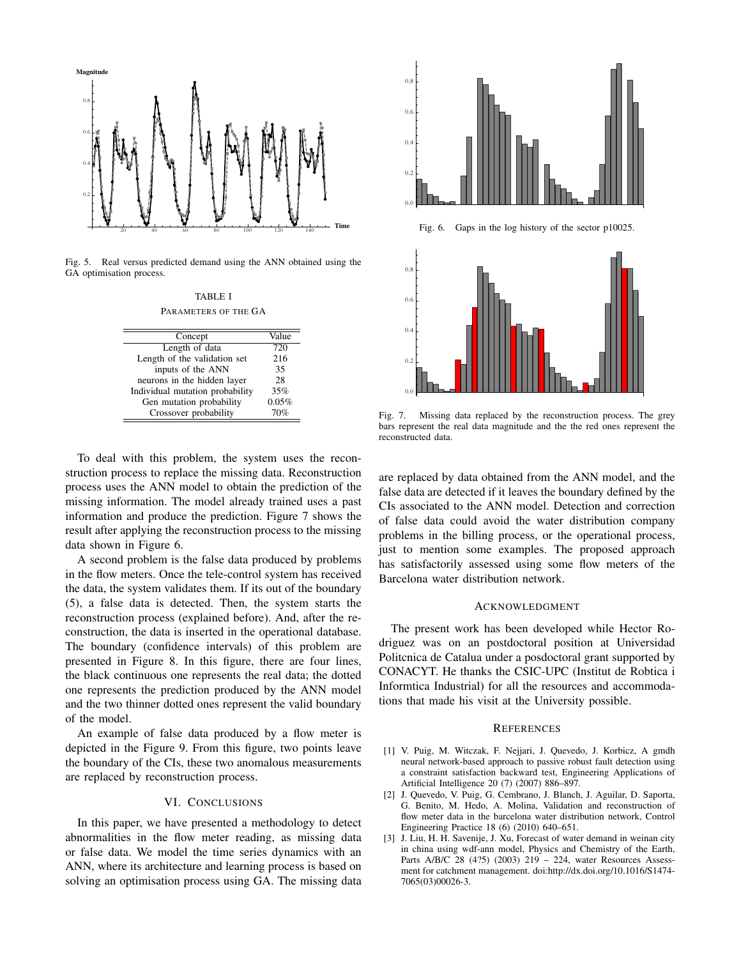

Fig. 5. Real versus predicted demand using the ANN obtained using the GA optimisation process.

**TABLE I** 

| Concept                         | Value |
|---------------------------------|-------|
| Length of data                  | 720   |
| Length of the validation set    | 216   |
| inputs of the ANN               | 35    |
| neurons in the hidden layer     | 28    |
| Individual mutation probability | 35%   |
| Gen mutation probability        | 0.05% |
| Crossover probability           | 70%   |

To deal with this problem, the system uses the reconstruction process to replace the missing data. Reconstruction process uses the ANN model to obtain the prediction of the missing information. The model already trained uses a past information and produce the prediction. Figure 7 shows the result after applying the reconstruction process to the missing data shown in Figure 6.

A second problem is the false data produced by problems in the flow meters. Once the tele-control system has received the data, the system validates them. If its out of the boundary (5), a false data is detected. Then, the system starts the reconstruction process (explained before). And, after the reconstruction, the data is inserted in the operational database. The boundary (confidence intervals) of this problem are presented in Figure 8. In this figure, there are four lines, the black continuous one represents the real data; the dotted one represents the prediction produced by the ANN model and the two thinner dotted ones represent the valid boundary of the model.

An example of false data produced by a flow meter is depicted in the Figure 9. From this figure, two points leave the boundary of the CIs, these two anomalous measurements are replaced by reconstruction process.

# VI. CONCLUSIONS

In this paper, we have presented a methodology to detect abnormalities in the flow meter reading, as missing data or false data. We model the time series dynamics with an ANN, where its architecture and learning process is based on solving an optimisation process using GA. The missing data



Missing data replaced by the reconstruction process. The grey Fig.  $7$ . bars represent the real data magnitude and the the red ones represent the reconstructed data.

are replaced by data obtained from the ANN model, and the false data are detected if it leaves the boundary defined by the CIs associated to the ANN model. Detection and correction of false data could avoid the water distribution company problems in the billing process, or the operational process, just to mention some examples. The proposed approach has satisfactorily assessed using some flow meters of the Barcelona water distribution network.

#### **ACKNOWLEDGMENT**

The present work has been developed while Hector Rodriguez was on an postdoctoral position at Universidad Politonica de Catalua under a posdoctoral grant supported by CONACYT. He thanks the CSIC-UPC (Institut de Robtica i Informtica Industrial) for all the resources and accommodations that made his visit at the University possible.

#### **REFERENCES**

- [1] V. Puig, M. Witczak, F. Nejjari, J. Quevedo, J. Korbicz, A gmdh neural network-based approach to passive robust fault detection using a constraint satisfaction backward test, Engineering Applications of Artificial Intelligence 20 (7) (2007) 886-897.
- [2] J. Quevedo, V. Puig, G. Cembrano, J. Blanch, J. Aguilar, D. Saporta, G. Benito, M. Hedo, A. Molina, Validation and reconstruction of flow meter data in the barcelona water distribution network, Control Engineering Practice 18 (6) (2010) 640–651.
- [3] J. Liu, H. H. Savenije, J. Xu, Forecast of water demand in weinan city in china using wdf-ann model, Physics and Chemistry of the Earth, Parts A/B/C 28 (4?5) (2003)  $219 - 224$ , water Resources Assessment for catchment management. doi:http://dx.doi.org/10.1016/S1474-7065(03)00026-3.